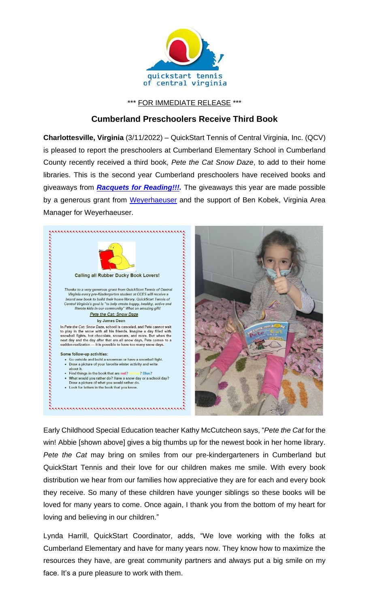

\*\*\* FOR IMMEDIATE RELEASE \*\*\*

## **Cumberland Preschoolers Receive Third Book**

**Charlottesville, Virginia** (3/11/2022) – QuickStart Tennis of Central Virginia, Inc. (QCV) is pleased to report the preschoolers at Cumberland Elementary School in Cumberland County recently received a third book, *Pete the Cat Snow Daze*, to add to their home libraries. This is the second year Cumberland preschoolers have received books and giveaways from *[Racquets for Reading!!!.](https://www.quickstartcentral.org/pages/index.cfm?siteid=23306)* The giveaways this year are made possible by a generous grant from [Weyerhaeuser](https://www.weyerhaeuser.com/) and the support of Ben Kobek, Virginia Area



Early Childhood Special Education teacher Kathy McCutcheon says, "*Pete the Cat* for the win! Abbie [shown above] gives a big thumbs up for the newest book in her home library. *Pete the Cat* may bring on smiles from our pre-kindergarteners in Cumberland but QuickStart Tennis and their love for our children makes me smile. With every book distribution we hear from our families how appreciative they are for each and every book they receive. So many of these children have younger siblings so these books will be loved for many years to come. Once again, I thank you from the bottom of my heart for loving and believing in our children."

Lynda Harrill, QuickStart Coordinator, adds, "We love working with the folks at Cumberland Elementary and have for many years now. They know how to maximize the resources they have, are great community partners and always put a big smile on my face. It's a pure pleasure to work with them.